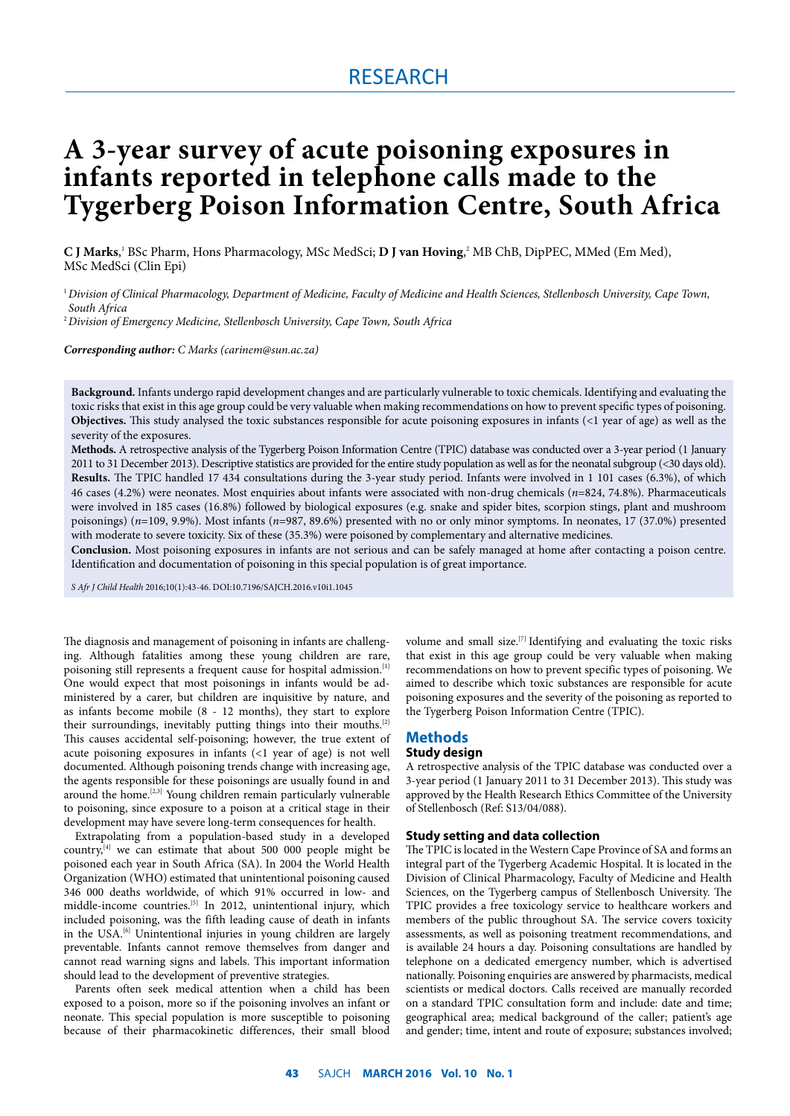# RESEARCH

# **A 3-year survey of acute poisoning exposures in infants reported in telephone calls made to the Tygerberg Poison Information Centre, South Africa**

**C J Marks**,' BSc Pharm, Hons Pharmacology, MSc MedSci; **D J van Hoving,**? MB ChB, DipPEC, MMed (Em Med), MSc MedSci (Clin Epi)

1 *Division of Clinical Pharmacology, Department of Medicine, Faculty of Medicine and Health Sciences, Stellenbosch University, Cape Town, South Africa*

2 *Division of Emergency Medicine, Stellenbosch University, Cape Town, South Africa*

*Corresponding author: C Marks (carinem@sun.ac.za)*

**Background.** Infants undergo rapid development changes and are particularly vulnerable to toxic chemicals. Identifying and evaluating the toxic risks that exist in this age group could be very valuable when making recommendations on how to prevent specific types of poisoning. **Objectives.** This study analysed the toxic substances responsible for acute poisoning exposures in infants (<1 year of age) as well as the severity of the exposures.

**Methods.** A retrospective analysis of the Tygerberg Poison Information Centre (TPIC) database was conducted over a 3-year period (1 January 2011 to 31 December 2013). Descriptive statistics are provided for the entire study population as well as for the neonatal subgroup (<30 days old). **Results.** The TPIC handled 17 434 consultations during the 3-year study period. Infants were involved in 1 101 cases (6.3%), of which 46 cases (4.2%) were neonates. Most enquiries about infants were associated with non-drug chemicals (*n*=824, 74.8%). Pharmaceuticals were involved in 185 cases (16.8%) followed by biological exposures (e.g. snake and spider bites, scorpion stings, plant and mushroom poisonings) (*n*=109, 9.9%). Most infants (*n*=987, 89.6%) presented with no or only minor symptoms. In neonates, 17 (37.0%) presented with moderate to severe toxicity. Six of these (35.3%) were poisoned by complementary and alternative medicines.

**Conclusion.** Most poisoning exposures in infants are not serious and can be safely managed at home after contacting a poison centre. Identification and documentation of poisoning in this special population is of great importance.

*S Afr J Child Health* 2016;10(1):43-46. DOI:10.7196/SAJCH.2016.v10i1.1045

The diagnosis and management of poisoning in infants are challenging. Although fatalities among these young children are rare, poisoning still represents a frequent cause for hospital admission.<sup>[1]</sup> One would expect that most poisonings in infants would be administered by a carer, but children are inquisitive by nature, and as infants become mobile (8 - 12 months), they start to explore their surroundings, inevitably putting things into their mouths.<sup>[2]</sup> This causes accidental self-poisoning; however, the true extent of acute poisoning exposures in infants (<1 year of age) is not well documented. Although poisoning trends change with increasing age, the agents responsible for these poisonings are usually found in and around the home.<sup>[2,3]</sup> Young children remain particularly vulnerable to poisoning, since exposure to a poison at a critical stage in their development may have severe long-term consequences for health.

Extrapolating from a population-based study in a developed country, $[4]$  we can estimate that about 500 000 people might be poisoned each year in South Africa (SA). In 2004 the World Health Organization (WHO) estimated that unintentional poisoning caused 346 000 deaths worldwide, of which 91% occurred in low- and middle-income countries.<sup>[5]</sup> In 2012, unintentional injury, which included poisoning, was the fifth leading cause of death in infants in the USA. $^{[6]}$  Unintentional injuries in young children are largely preventable. Infants cannot remove themselves from danger and cannot read warning signs and labels. This important information should lead to the development of preventive strategies.

Parents often seek medical attention when a child has been exposed to a poison, more so if the poisoning involves an infant or neonate. This special population is more susceptible to poisoning because of their pharmacokinetic differences, their small blood

volume and small size.<sup>[7]</sup> Identifying and evaluating the toxic risks that exist in this age group could be very valuable when making recommendations on how to prevent specific types of poisoning. We aimed to describe which toxic substances are responsible for acute poisoning exposures and the severity of the poisoning as reported to the Tygerberg Poison Information Centre (TPIC).

# **Methods**

# **Study design**

A retrospective analysis of the TPIC database was conducted over a 3-year period (1 January 2011 to 31 December 2013). This study was approved by the Health Research Ethics Committee of the University of Stellenbosch (Ref: S13/04/088).

#### **Study setting and data collection**

The TPIC is located in the Western Cape Province of SA and forms an integral part of the Tygerberg Academic Hospital. It is located in the Division of Clinical Pharmacology, Faculty of Medicine and Health Sciences, on the Tygerberg campus of Stellenbosch University. The TPIC provides a free toxicology service to healthcare workers and members of the public throughout SA. The service covers toxicity assessments, as well as poisoning treatment recommendations, and is available 24 hours a day. Poisoning consultations are handled by telephone on a dedicated emergency number, which is advertised nationally. Poisoning enquiries are answered by pharmacists, medical scientists or medical doctors. Calls received are manually recorded on a standard TPIC consultation form and include: date and time; geographical area; medical background of the caller; patient's age and gender; time, intent and route of exposure; substances involved;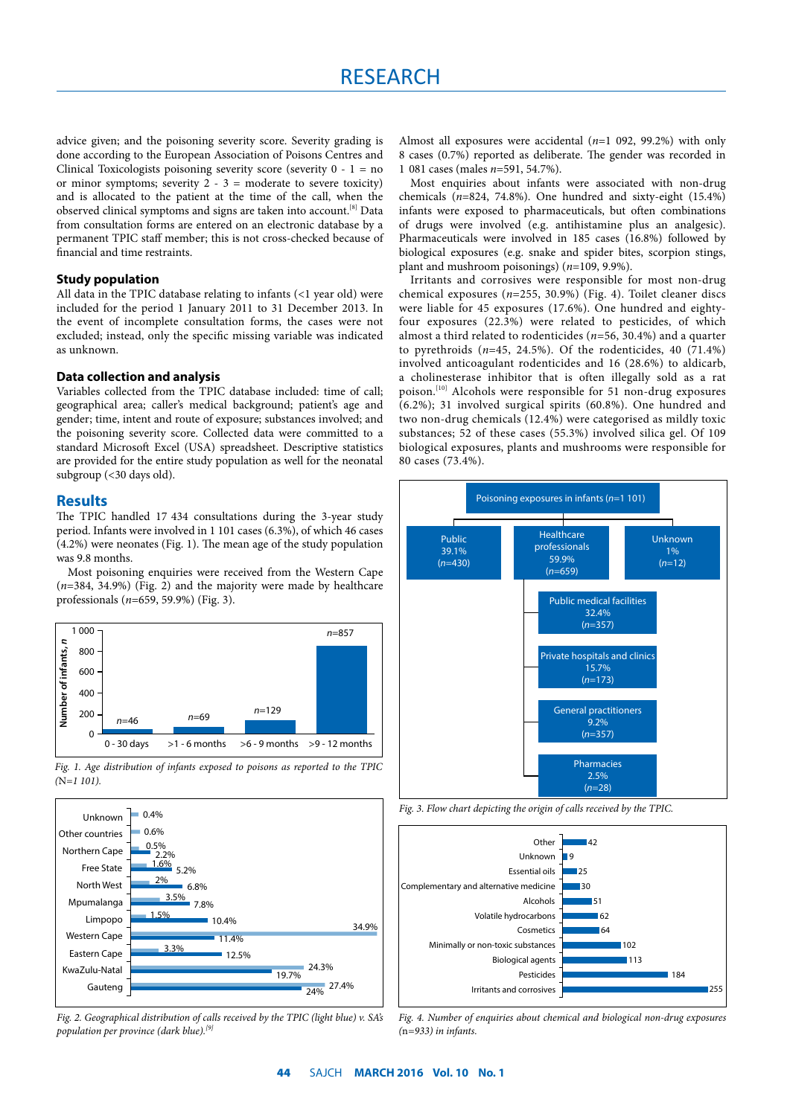advice given; and the poisoning severity score. Severity grading is done according to the European Association of Poisons Centres and Clinical Toxicologists poisoning severity score (severity  $0 - 1 = no$ or minor symptoms; severity  $2 - 3 =$  moderate to severe toxicity) and is allocated to the patient at the time of the call, when the observed clinical symptoms and signs are taken into account.<sup>[8]</sup> Data from consultation forms are entered on an electronic database by a permanent TPIC staff member; this is not cross-checked because of financial and time restraints.

## **Study population**

All data in the TPIC database relating to infants (<1 year old) were included for the period 1 January 2011 to 31 December 2013. In the event of incomplete consultation forms, the cases were not excluded; instead, only the specific missing variable was indicated as unknown.

## **Data collection and analysis**

Variables collected from the TPIC database included: time of call; geographical area; caller's medical background; patient's age and gender; time, intent and route of exposure; substances involved; and the poisoning severity score. Collected data were committed to a standard Microsoft Excel (USA) spreadsheet. Descriptive statistics are provided for the entire study population as well for the neonatal subgroup (<30 days old).

## **Results**

The TPIC handled 17 434 consultations during the 3-year study period. Infants were involved in 1 101 cases (6.3%), of which 46 cases (4.2%) were neonates (Fig. 1). The mean age of the study population was 9.8 months.

Most poisoning enquiries were received from the Western Cape (*n*=384, 34.9%) (Fig. 2) and the majority were made by healthcare professionals (*n*=659, 59.9%) (Fig. 3).







*Fig. 2. Geographical distribution of calls received by the TPIC (light blue) v. SA's population per province (dark blue).[9]*

Almost all exposures were accidental (*n*=1 092, 99.2%) with only 8 cases (0.7%) reported as deliberate. The gender was recorded in 1 081 cases (males *n*=591, 54.7%).

Most enquiries about infants were associated with non-drug chemicals  $(n=824, 74.8%)$ . One hundred and sixty-eight  $(15.4%)$ infants were exposed to pharmaceuticals, but often combinations of drugs were involved (e.g. antihistamine plus an analgesic). Pharmaceuticals were involved in 185 cases (16.8%) followed by biological exposures (e.g. snake and spider bites, scorpion stings, plant and mushroom poisonings) (*n*=109, 9.9%).

Irritants and corrosives were responsible for most non-drug chemical exposures (*n*=255, 30.9%) (Fig. 4). Toilet cleaner discs were liable for 45 exposures (17.6%). One hundred and eightyfour exposures (22.3%) were related to pesticides, of which almost a third related to rodenticides (*n*=56, 30.4%) and a quarter to pyrethroids (*n*=45, 24.5%). Of the rodenticides, 40 (71.4%) involved anticoagulant rodenticides and 16 (28.6%) to aldicarb, a cholinesterase inhibitor that is often illegally sold as a rat poison.[10] Alcohols were responsible for 51 non-drug exposures (6.2%); 31 involved surgical spirits (60.8%). One hundred and two non-drug chemicals (12.4%) were categorised as mildly toxic substances; 52 of these cases (55.3%) involved silica gel. Of 109 biological exposures, plants and mushrooms were responsible for 80 cases (73.4%).







*Fig. 4. Number of enquiries about chemical and biological non-drug exposures (*n*=933) in infants.*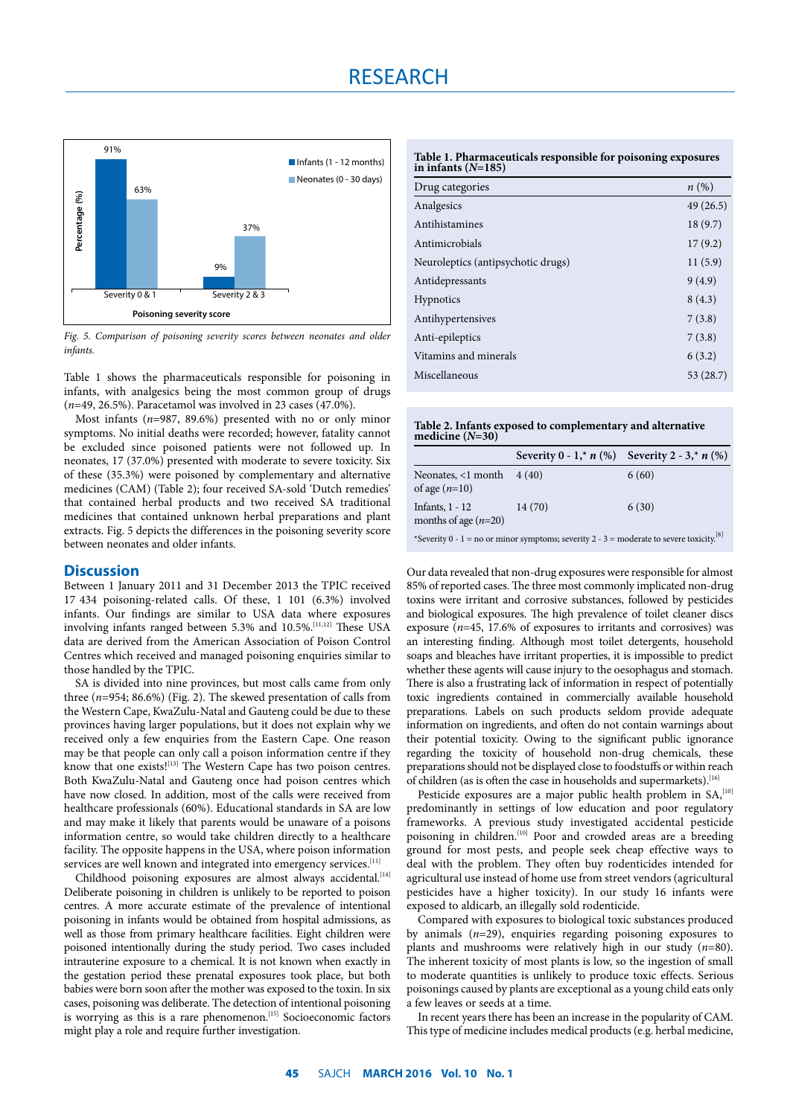

*Fig. 5. Comparison of poisoning severity scores between neonates and older infants.*

Table 1 shows the pharmaceuticals responsible for poisoning in infants, with analgesics being the most common group of drugs (*n*=49, 26.5%). Paracetamol was involved in 23 cases (47.0%).

Most infants (*n*=987, 89.6%) presented with no or only minor symptoms. No initial deaths were recorded; however, fatality cannot be excluded since poisoned patients were not followed up. In neonates, 17 (37.0%) presented with moderate to severe toxicity. Six of these (35.3%) were poisoned by complementary and alternative medicines (CAM) (Table 2); four received SA-sold 'Dutch remedies' that contained herbal products and two received SA traditional medicines that contained unknown herbal preparations and plant extracts. Fig. 5 depicts the differences in the poisoning severity score between neonates and older infants.

# **Discussion**

Between 1 January 2011 and 31 December 2013 the TPIC received 17 434 poisoning-related calls. Of these, 1 101 (6.3%) involved infants. Our findings are similar to USA data where exposures involving infants ranged between 5.3% and 10.5%.<sup>[11,12]</sup> These USA data are derived from the American Association of Poison Control Centres which received and managed poisoning enquiries similar to those handled by the TPIC.

SA is divided into nine provinces, but most calls came from only three (*n*=954; 86.6%) (Fig. 2). The skewed presentation of calls from the Western Cape, KwaZulu-Natal and Gauteng could be due to these provinces having larger populations, but it does not explain why we received only a few enquiries from the Eastern Cape. One reason may be that people can only call a poison information centre if they know that one exists![13] The Western Cape has two poison centres. Both KwaZulu-Natal and Gauteng once had poison centres which have now closed. In addition, most of the calls were received from healthcare professionals (60%). Educational standards in SA are low and may make it likely that parents would be unaware of a poisons information centre, so would take children directly to a healthcare facility. The opposite happens in the USA, where poison information services are well known and integrated into emergency services.<sup>[11]</sup>

Childhood poisoning exposures are almost always accidental.<sup>[14]</sup> Deliberate poisoning in children is unlikely to be reported to poison centres. A more accurate estimate of the prevalence of intentional poisoning in infants would be obtained from hospital admissions, as well as those from primary healthcare facilities. Eight children were poisoned intentionally during the study period. Two cases included intrauterine exposure to a chemical. It is not known when exactly in the gestation period these prenatal exposures took place, but both babies were born soon after the mother was exposed to the toxin. In six cases, poisoning was deliberate. The detection of intentional poisoning is worrying as this is a rare phenomenon.<sup>[15]</sup> Socioeconomic factors might play a role and require further investigation.

| Table 1. Pharmaceuticals responsible for poisoning exposures |  |
|--------------------------------------------------------------|--|
| in infants $(N=185)$                                         |  |

| Drug categories                    | $n\left(\%\right)$ |
|------------------------------------|--------------------|
| Analgesics                         | 49(26.5)           |
| Antihistamines                     | 18(9.7)            |
| Antimicrobials                     | 17(9.2)            |
| Neuroleptics (antipsychotic drugs) | 11(5.9)            |
| Antidepressants                    | 9(4.9)             |
| <b>Hypnotics</b>                   | 8(4.3)             |
| Antihypertensives                  | 7(3.8)             |
| Anti-epileptics                    | 7(3.8)             |
| Vitamins and minerals              | 6(3.2)             |
| Miscellaneous                      | 53 (28.7)          |
|                                    |                    |

**Table 2. Infants exposed to complementary and alternative medicine (***N***=30)**

|                                                       | Severity $0 - 1$ ,* $n$ (%) Severity $2 - 3$ ,* $n$ (%) |                     |
|-------------------------------------------------------|---------------------------------------------------------|---------------------|
| Neonates, $\langle$ 1 month 4 (40)<br>of age $(n=10)$ |                                                         | 6(60)               |
| Infants, $1 - 12$<br>months of age $(n=20)$           | 14(70)                                                  | 6(30)<br>$f \cap 1$ |

\*Severity 0 - 1 = no or minor symptoms; severity 2 - 3 = moderate to severe toxicity.<sup>[8</sup>]

Our data revealed that non-drug exposures were responsible for almost 85% of reported cases. The three most commonly implicated non-drug toxins were irritant and corrosive substances, followed by pesticides and biological exposures. The high prevalence of toilet cleaner discs exposure (*n*=45, 17.6% of exposures to irritants and corrosives) was an interesting finding. Although most toilet detergents, household soaps and bleaches have irritant properties, it is impossible to predict whether these agents will cause injury to the oesophagus and stomach. There is also a frustrating lack of information in respect of potentially toxic ingredients contained in commercially available household preparations. Labels on such products seldom provide adequate information on ingredients, and often do not contain warnings about their potential toxicity. Owing to the significant public ignorance regarding the toxicity of household non-drug chemicals, these preparations should not be displayed close to foodstuffs or within reach of children (as is often the case in households and supermarkets).<sup>[16]</sup>

Pesticide exposures are a major public health problem in SA,<sup>[10]</sup> predominantly in settings of low education and poor regulatory frameworks. A previous study investigated accidental pesticide poisoning in children.<sup>[10]</sup> Poor and crowded areas are a breeding ground for most pests, and people seek cheap effective ways to deal with the problem. They often buy rodenticides intended for agricultural use instead of home use from street vendors (agricultural pesticides have a higher toxicity). In our study 16 infants were exposed to aldicarb, an illegally sold rodenticide.

Compared with exposures to biological toxic substances produced by animals (*n*=29), enquiries regarding poisoning exposures to plants and mushrooms were relatively high in our study (*n*=80). The inherent toxicity of most plants is low, so the ingestion of small to moderate quantities is unlikely to produce toxic effects. Serious poisonings caused by plants are exceptional as a young child eats only a few leaves or seeds at a time.

In recent years there has been an increase in the popularity of CAM. This type of medicine includes medical products (e.g. herbal medicine,